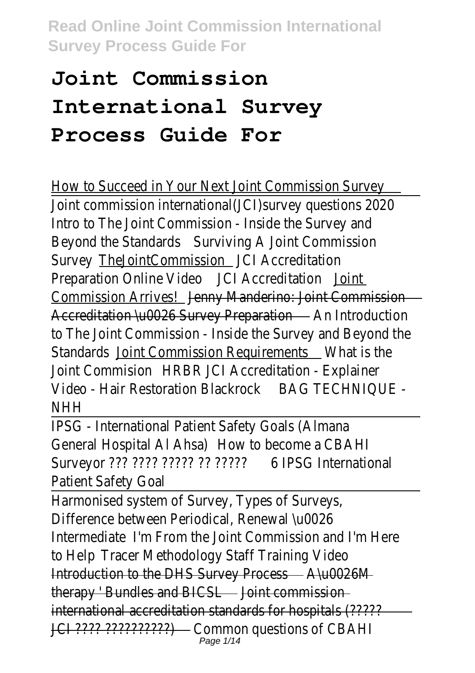# **Joint Commission International Survey Process Guide For**

How to Succeed in Your Next Joint Commission Survey Joint commission international(JCI)survey questions 202 Intro to The Joint Commission - Inside the Survey and Beyond the Standards wiving A Joint Commission SurveyTheJointCommissiolCl Accreditation Preparation Online VideCI Accreditation Director Commission Arrivestenny Manderino: Joint Commission Accreditation \u0026 Survey Preparation And Introduction to The Joint Commission - Inside the Survey and Beyond Standardsbint Commission Requirements at is the Joint Commisio HRBR JCI Accreditation - Explainer Video - Hair Restoration Blackrook TFCHNIQUE -**NHH** 

IPSG - International Patient Safety Goals (Almana General Hospital Al Ahstow to become a CBAHI Surveyor ??? ???? ????? ?? ???&?PSG International Patient Safety Goal

Harmonised system of Survey, Types of Surveys, Difference between Periodical, Renewal \u0026 Intermediaten From the Joint Commission and I'm Here to Help Tracer Methodology Staff Training Video Introduction to the DHS Survey Procuse 26M therapy ' Bundles and BICS dint commission international accreditation standards for hospitals (????? JCI ???? ??????????) Common questions of CBAHI Page 1/14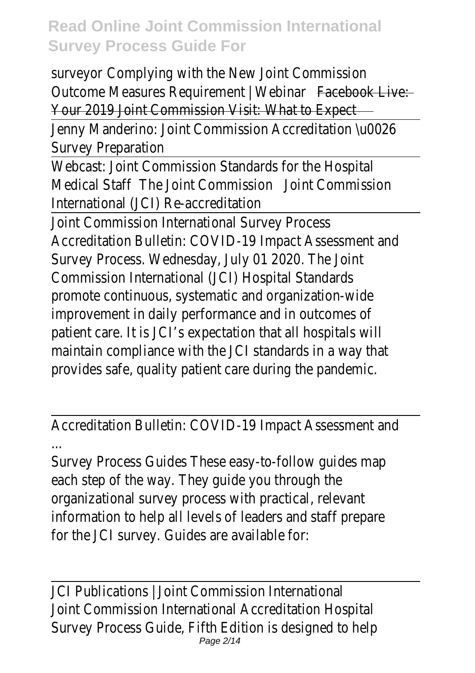surveyoComplying with the New Joint Commission Outcome Measures Requirement | Westsibank Live: Your 2019 Joint Commission Visit: What to Expect

Jenny Manderino: Joint Commission Accreditation \u002 Survey Preparation

Webcast: Joint Commission Standards for the Hospital Medical Staffhe Joint Commissidorint Commission International (JCI) Re-accreditation

Joint Commission International Survey Process Accreditation Bulletin: COVID-19 Impact Assessment and Survey Process. Wednesday, July 01 2020. The Joint Commission International (JCI) Hospital Standards promote continuous, systematic and organization-wide improvement in daily performance and in outcomes of patient care. It is JCI's expectation that all hospitals will maintain compliance with the JCI standards in a way that provides safe, quality patient care during the pandemic.

Accreditation Bulletin: COVID-19 Impact Assessment and ...

Survey Process Guides These easy-to-follow guides map each step of the way. They guide you through the organizational survey process with practical, relevant information to help all levels of leaders and staff prepare for the JCI survey. Guides are available for:

JCI Publications | Joint Commission International Joint Commission International Accreditation Hospital Survey Process Guide, Fifth Edition is designed to help Page 2/14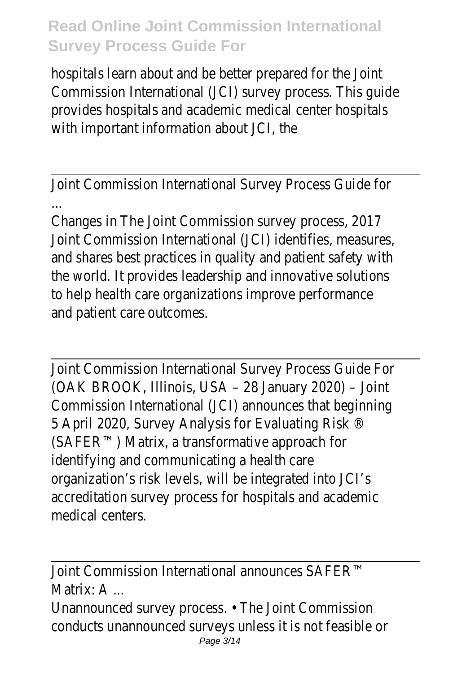hospitals learn about and be better prepared for the Joint Commission International (JCI) survey process. This quide provides hospitals and academic medical center hospitals with important information about JCI, the

Joint Commission International Survey Process Guide for ...

Changes in The Joint Commission survey process, 2017 Joint Commission International (JCI) identifies, measures, and shares best practices in quality and patient safety with the world. It provides leadership and innovative solutions to help health care organizations improve performance and patient care outcomes.

Joint Commission International Survey Process Guide For (OAK BROOK, Illinois, USA – 28 January 2020) – Joint Commission International (JCI) announces that beginning 5 April 2020, Survey Analysis for Evaluating Risk ® (SAFER™) Matrix, a transformative approach for identifying and communicating a health care organization's risk levels, will be integrated into JCI's accreditation survey process for hospitals and academic medical centers.

Joint Commission International announces SAFER™ Matrix: A ...

Unannounced survey process. • The Joint Commission conducts unannounced surveys unless it is not feasible Page 3/14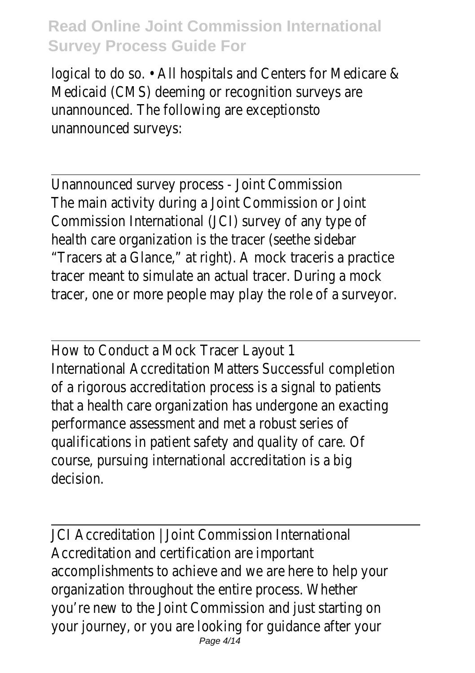logical to do so. • All hospitals and Centers for Medicare Medicaid (CMS) deeming or recognition surveys are unannounced. The following are exceptionsto unannounced surveys:

Unannounced survey process - Joint Commission The main activity during a Joint Commission or Joint Commission International (JCI) survey of any type of health care organization is the tracer (seethe sidebar "Tracers at a Glance," at right). A mock traceris a practic tracer meant to simulate an actual tracer. During a mod tracer, one or more people may play the role of a survey

How to Conduct a Mock Tracer Layout 1 International Accreditation Matters Successful completion of a rigorous accreditation process is a signal to patient that a health care organization has undergone an exacti performance assessment and met a robust series of qualifications in patient safety and quality of care. Of course, pursuing international accreditation is a big decision.

JCI Accreditation | Joint Commission International Accreditation and certification are important accomplishments to achieve and we are here to help yo organization throughout the entire process. Whether you're new to the Joint Commission and just starting on your journey, or you are looking for guidance after your Page 4/14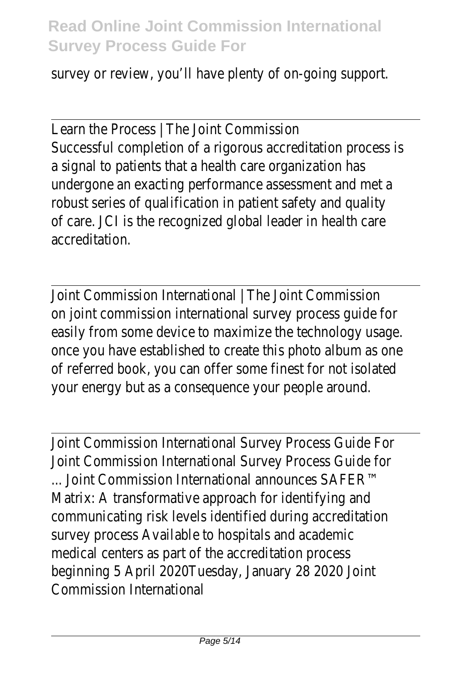survey or review, you'll have plenty of on-going support.

Learn the Process | The Joint Commission Successful completion of a rigorous accreditation proce a signal to patients that a health care organization has undergone an exacting performance assessment and metallistical robust series of qualification in patient safety and qualit of care. JCI is the recognized global leader in health care accreditation.

Joint Commission International | The Joint Commission on joint commission international survey process guide f easily from some device to maximize the technology usa once you have established to create this photo album as of referred book, you can offer some finest for not isolated your energy but as a consequence your people around.

Joint Commission International Survey Process Guide For Joint Commission International Survey Process Guide for ... Joint Commission International announces SAFER™ Matrix: A transformative approach for identifying and communicating risk levels identified during accreditation survey process Available to hospitals and academic medical centers as part of the accreditation process beginning 5 April 2020Tuesday, January 28 2020 Joint Commission International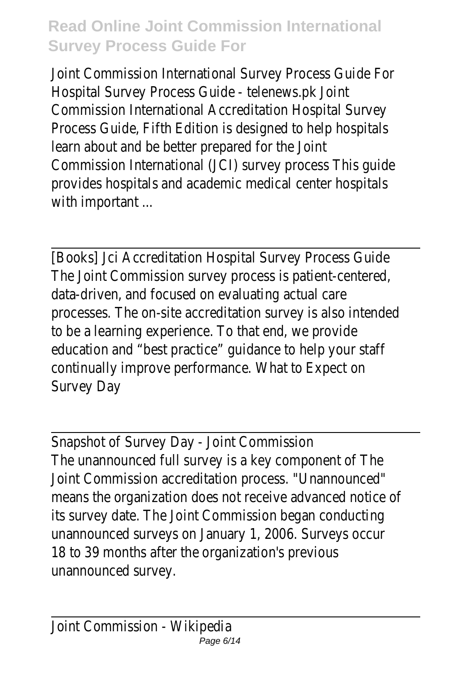Joint Commission International Survey Process Guide For Hospital Survey Process Guide - telenews.pk Joint Commission International Accreditation Hospital Survey Process Guide, Fifth Edition is designed to help hospitals learn about and be better prepared for the Joint Commission International (JCI) survey process This guide provides hospitals and academic medical center hospitals with important ...

[Books] Jci Accreditation Hospital Survey Process Guide The Joint Commission survey process is patient-centere data-driven, and focused on evaluating actual care processes. The on-site accreditation survey is also inten to be a learning experience. To that end, we provide education and "best practice" guidance to help your staf continually improve performance. What to Expect on Survey Day

Snapshot of Survey Day - Joint Commission The unannounced full survey is a key component of The Joint Commission accreditation process. "Unannounced" means the organization does not receive advanced notic its survey date. The Joint Commission began conducting unannounced surveys on January 1, 2006. Surveys occu 18 to 39 months after the organization's previous unannounced survey.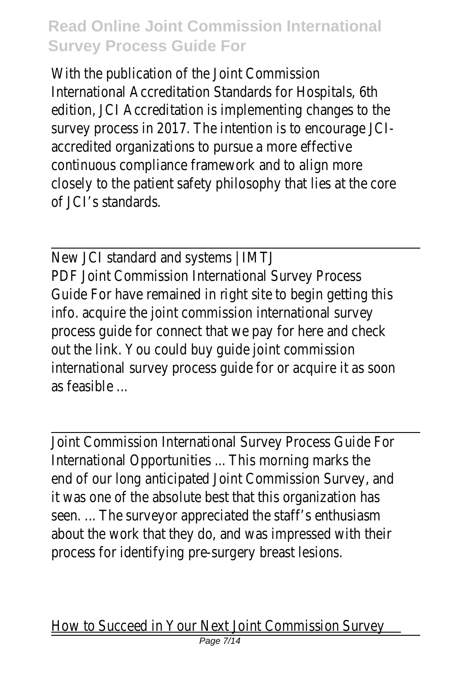With the publication of the Joint Commission International Accreditation Standards for Hospitals, 6th edition, JCI Accreditation is implementing changes to the survey process in 2017. The intention is to encourage J accredited organizations to pursue a more effective continuous compliance framework and to align more closely to the patient safety philosophy that lies at the of JCI's standards.

New JCI standard and systems | IMTJ PDF Joint Commission International Survey Process Guide For have remained in right site to begin getting the info. acquire the joint commission international survey process quide for connect that we pay for here and che out the link. You could buy guide joint commission international survey process guide for or acquire it as so as feasible ...

Joint Commission International Survey Process Guide For International Opportunities ... This morning marks the end of our long anticipated Joint Commission Survey, an it was one of the absolute best that this organization h seen. ... The surveyor appreciated the staff's enthusiasm about the work that they do, and was impressed with t process for identifying pre-surgery breast lesions.

How to Succeed in Your Next Joint Commission Survey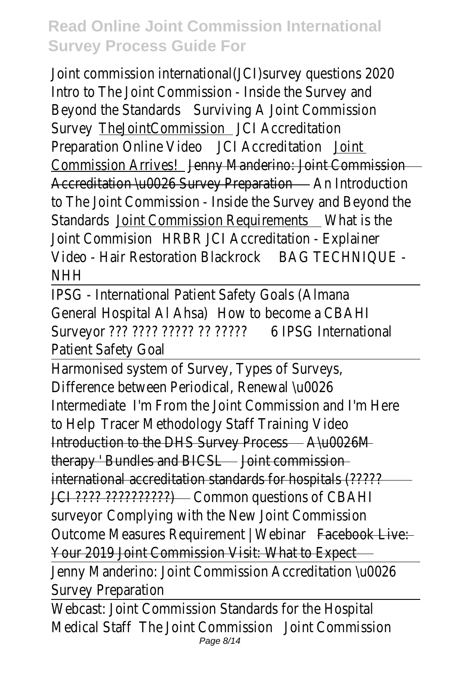Joint commission international(JCI) survey questions 202 Intro to The Joint Commission - Inside the Survey and Beyond the Standards wiving A Joint Commission SurveyTheJointCommissionCI Accreditation Preparation Online VideCI Accreditation Director Commission Arrivestenny Manderino: Joint Commission Accreditation \u0026 Survey Preparation And Introduction to The Joint Commission - Inside the Survey and Beyond Standardsbint Commission Requirements is the Joint CommisioHRBR JCI Accreditation - Explainer Video - Hair Restoration Blackrook TECHNIQUE -**NHH** 

IPSG - International Patient Safety Goals (Almana General Hospital Al Ahstow to become a CBAHI Surveyor ??? ???? ????? ?? ???&?PSG International Patient Safety Goal

Harmonised system of Survey, Types of Surveys, Difference between Periodical, Renewal \u0026 Intermediaten From the Joint Commission and I'm Here to Help Tracer Methodology Staff Training Video Introduction to the DHS Survey Process 26M therapy ' Bundles and BICS aint commission international accreditation standards for hospitals (????? JCI ???? ???????????????? Common questions of CBAHI surveyoComplying with the New Joint Commission Outcome Measures Requirement | Wadaibank Live: Your 2019 Joint Commission Visit: What to Expect Jenny Manderino: Joint Commission Accreditation \u002 Survey Preparation Webcast: Joint Commission Standards for the Hospital

Medical Staffhe Joint Commissiom Commission Page 8/14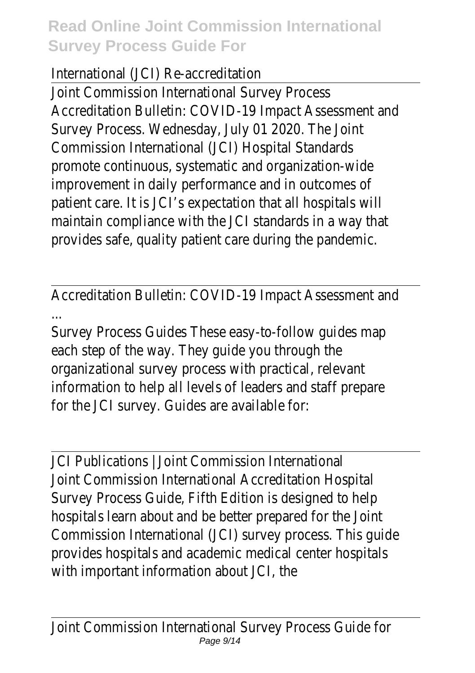#### International (JCI) Re-accreditation

Joint Commission International Survey Process Accreditation Bulletin: COVID-19 Impact Assessment and Survey Process. Wednesday, July 01 2020. The Joint Commission International (JCI) Hospital Standards promote continuous, systematic and organization-wide improvement in daily performance and in outcomes of patient care. It is JCI's expectation that all hospitals will maintain compliance with the JCI standards in a way that provides safe, quality patient care during the pandemic.

Accreditation Bulletin: COVID-19 Impact Assessment and ...

Survey Process Guides These easy-to-follow guides map each step of the way. They guide you through the organizational survey process with practical, relevant information to help all levels of leaders and staff prepare for the JCI survey. Guides are available for:

JCI Publications | Joint Commission International Joint Commission International Accreditation Hospital Survey Process Guide, Fifth Edition is designed to help hospitals learn about and be better prepared for the Joint Commission International (JCI) survey process. This quide provides hospitals and academic medical center hospitals with important information about JCI, the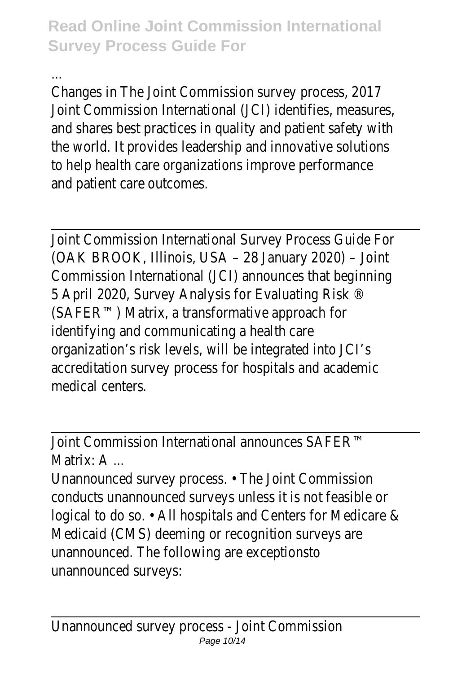...

Changes in The Joint Commission survey process, 2017 Joint Commission International (JCI) identifies, measures, and shares best practices in quality and patient safety with the world. It provides leadership and innovative solutions to help health care organizations improve performance and patient care outcomes.

Joint Commission International Survey Process Guide For (OAK BROOK, Illinois, USA – 28 January 2020) – Joint Commission International (JCI) announces that beginning 5 April 2020, Survey Analysis for Evaluating Risk ® (SAFER™) Matrix, a transformative approach for identifying and communicating a health care organization's risk levels, will be integrated into JCI's accreditation survey process for hospitals and academic medical centers.

Joint Commission International announces SAFER™ Matrix<sup>.</sup> A

Unannounced survey process. • The Joint Commission conducts unannounced surveys unless it is not feasible logical to do so. • All hospitals and Centers for Medicare Medicaid (CMS) deeming or recognition surveys are unannounced. The following are exceptionsto unannounced surveys: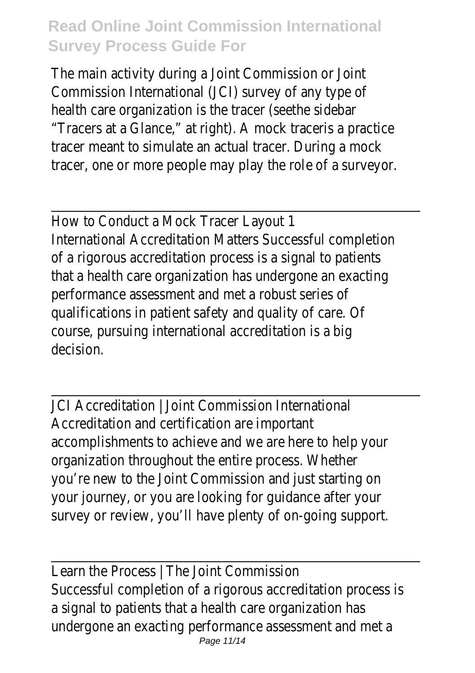The main activity during a Joint Commission or Joint Commission International (JCI) survey of any type of health care organization is the tracer (seethe sidebar "Tracers at a Glance," at right). A mock traceris a praction tracer meant to simulate an actual tracer. During a mod tracer, one or more people may play the role of a survey

How to Conduct a Mock Tracer Layout 1

International Accreditation Matters Successful completion of a rigorous accreditation process is a signal to patient that a health care organization has undergone an exacti performance assessment and met a robust series of qualifications in patient safety and quality of care. Of course, pursuing international accreditation is a big decision.

JCI Accreditation | Joint Commission International Accreditation and certification are important accomplishments to achieve and we are here to help yo organization throughout the entire process. Whether you're new to the Joint Commission and just starting on your journey, or you are looking for guidance after your survey or review, you'll have plenty of on-going support.

Learn the Process | The Joint Commission Successful completion of a rigorous accreditation proce a signal to patients that a health care organization has undergone an exacting performance assessment and me Page 11/14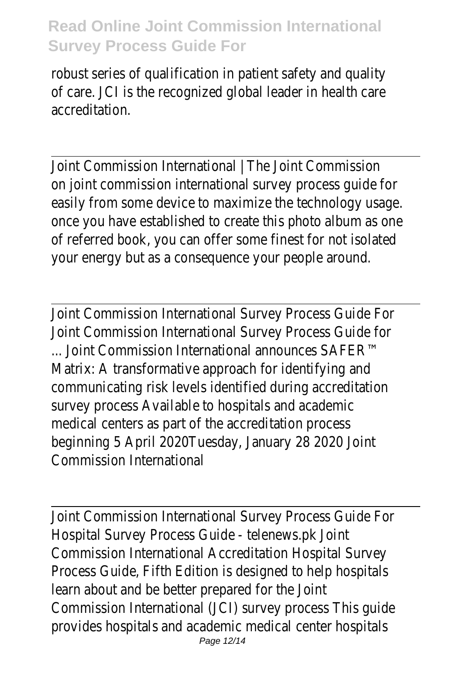robust series of qualification in patient safety and qualit of care. JCI is the recognized global leader in health care accreditation.

Joint Commission International | The Joint Commission on joint commission international survey process quide for easily from some device to maximize the technology usage. once you have established to create this photo album as of referred book, you can offer some finest for not isolated your energy but as a consequence your people around.

Joint Commission International Survey Process Guide For Joint Commission International Survey Process Guide for ... Joint Commission International announces SAFER™ Matrix: A transformative approach for identifying and communicating risk levels identified during accreditation survey process Available to hospitals and academic medical centers as part of the accreditation process beginning 5 April 2020Tuesday, January 28 2020 Joint Commission International

Joint Commission International Survey Process Guide For Hospital Survey Process Guide - telenews.pk Joint Commission International Accreditation Hospital Survey Process Guide, Fifth Edition is designed to help hospitals learn about and be better prepared for the Joint Commission International (JCI) survey process This guide provides hospitals and academic medical center hospitals Page 12/14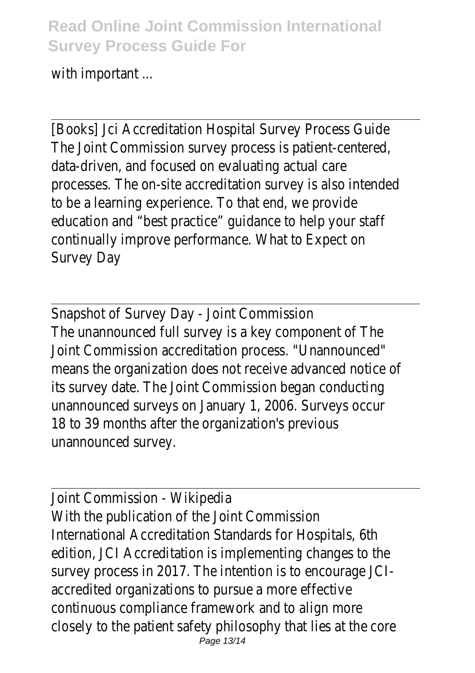with important ...

[Books] Jci Accreditation Hospital Survey Process Guide The Joint Commission survey process is patient-centere data-driven, and focused on evaluating actual care processes. The on-site accreditation survey is also inten to be a learning experience. To that end, we provide education and "best practice" guidance to help your staf continually improve performance. What to Expect on Survey Day

Snapshot of Survey Day - Joint Commission The unannounced full survey is a key component of The Joint Commission accreditation process. "Unannounced" means the organization does not receive advanced notic its survey date. The Joint Commission began conducting unannounced surveys on January 1, 2006. Surveys occur 18 to 39 months after the organization's previous unannounced survey.

Joint Commission - Wikipedia With the publication of the Joint Commission International Accreditation Standards for Hospitals, 6th edition, JCI Accreditation is implementing changes to the survey process in 2017. The intention is to encourage J accredited organizations to pursue a more effective continuous compliance framework and to align more closely to the patient safety philosophy that lies at the Page 13/14